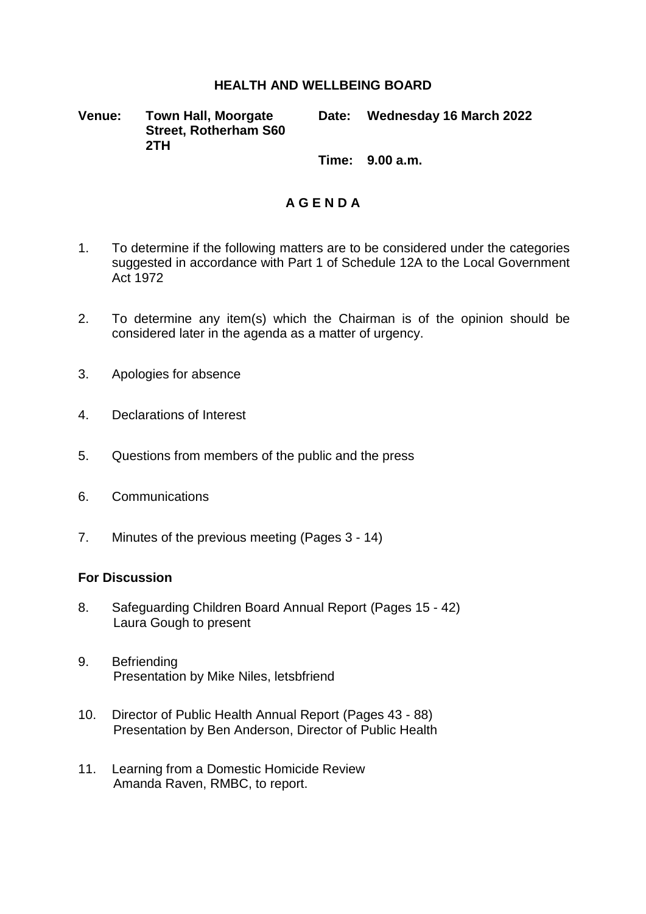## **HEALTH AND WELLBEING BOARD**

**Venue: Town Hall, Moorgate Street, Rotherham S60 2TH**

**Date: Wednesday 16 March 2022**

**Time: 9.00 a.m.**

## **A G E N D A**

- 1. To determine if the following matters are to be considered under the categories suggested in accordance with Part 1 of Schedule 12A to the Local Government Act 1972
- 2. To determine any item(s) which the Chairman is of the opinion should be considered later in the agenda as a matter of urgency.
- 3. Apologies for absence
- 4. Declarations of Interest
- 5. Questions from members of the public and the press
- 6. Communications
- 7. Minutes of the previous meeting (Pages 3 14)

## **For Discussion**

- 8. Safeguarding Children Board Annual Report (Pages 15 42) Laura Gough to present
- 9. Befriending Presentation by Mike Niles, letsbfriend
- 10. Director of Public Health Annual Report (Pages 43 88) Presentation by Ben Anderson, Director of Public Health
- 11. Learning from a Domestic Homicide Review Amanda Raven, RMBC, to report.